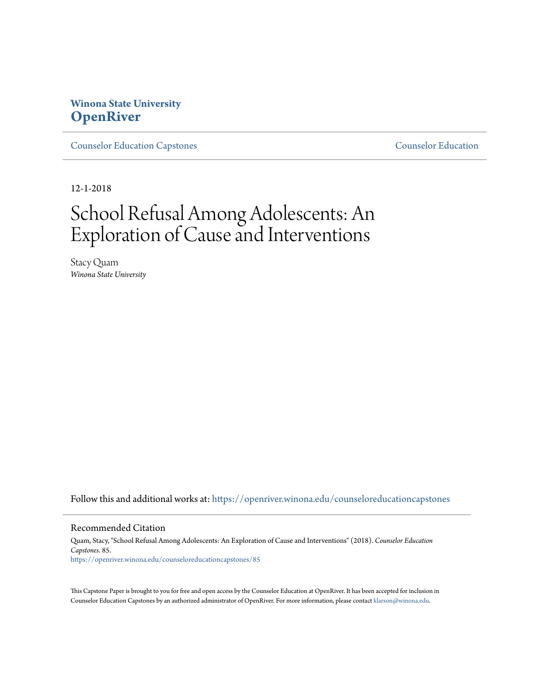# **Winona State University [OpenRiver](https://openriver.winona.edu?utm_source=openriver.winona.edu%2Fcounseloreducationcapstones%2F85&utm_medium=PDF&utm_campaign=PDFCoverPages)**

[Counselor Education Capstones](https://openriver.winona.edu/counseloreducationcapstones?utm_source=openriver.winona.edu%2Fcounseloreducationcapstones%2F85&utm_medium=PDF&utm_campaign=PDFCoverPages) [Counselor Education](https://openriver.winona.edu/counseloreducation?utm_source=openriver.winona.edu%2Fcounseloreducationcapstones%2F85&utm_medium=PDF&utm_campaign=PDFCoverPages)

12-1-2018

# School Refusal Among Adolescents: An Exploration of Cause and Interventions

Stacy Quam *Winona State University*

Follow this and additional works at: [https://openriver.winona.edu/counseloreducationcapstones](https://openriver.winona.edu/counseloreducationcapstones?utm_source=openriver.winona.edu%2Fcounseloreducationcapstones%2F85&utm_medium=PDF&utm_campaign=PDFCoverPages)

#### Recommended Citation

Quam, Stacy, "School Refusal Among Adolescents: An Exploration of Cause and Interventions" (2018). *Counselor Education Capstones*. 85. [https://openriver.winona.edu/counseloreducationcapstones/85](https://openriver.winona.edu/counseloreducationcapstones/85?utm_source=openriver.winona.edu%2Fcounseloreducationcapstones%2F85&utm_medium=PDF&utm_campaign=PDFCoverPages)

This Capstone Paper is brought to you for free and open access by the Counselor Education at OpenRiver. It has been accepted for inclusion in Counselor Education Capstones by an authorized administrator of OpenRiver. For more information, please contact [klarson@winona.edu](mailto:klarson@winona.edu).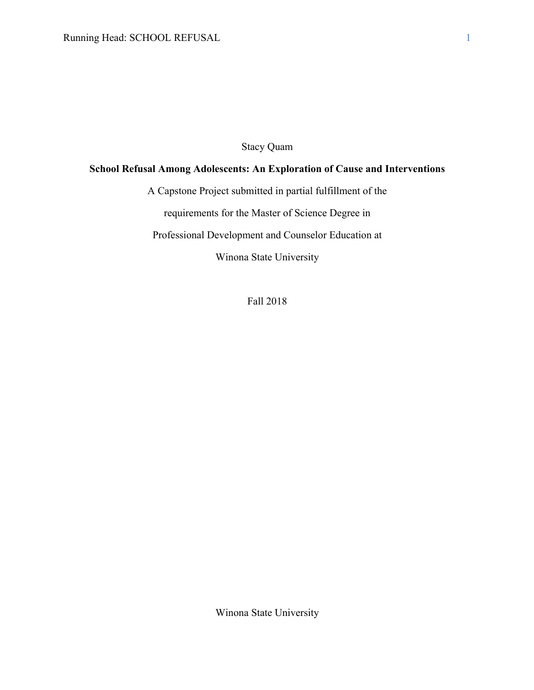# Stacy Quam

# **School Refusal Among Adolescents: An Exploration of Cause and Interventions**

A Capstone Project submitted in partial fulfillment of the

requirements for the Master of Science Degree in

Professional Development and Counselor Education at

Winona State University

Fall 2018

Winona State University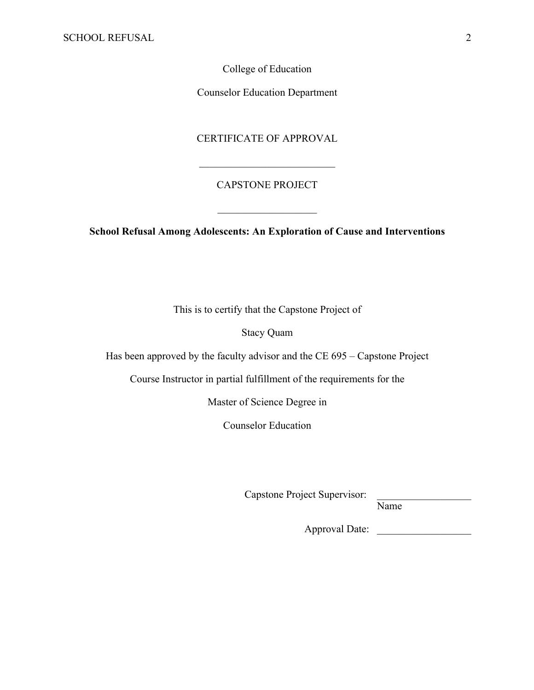College of Education

Counselor Education Department

### CERTIFICATE OF APPROVAL

# CAPSTONE PROJECT

**School Refusal Among Adolescents: An Exploration of Cause and Interventions**

This is to certify that the Capstone Project of

Stacy Quam

Has been approved by the faculty advisor and the CE 695 – Capstone Project

Course Instructor in partial fulfillment of the requirements for the

Master of Science Degree in

Counselor Education

Capstone Project Supervisor:

Name

Approval Date: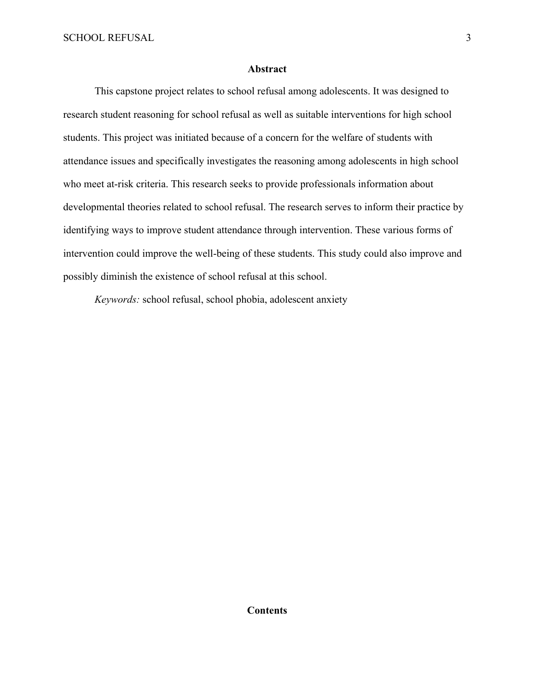#### **Abstract**

This capstone project relates to school refusal among adolescents. It was designed to research student reasoning for school refusal as well as suitable interventions for high school students. This project was initiated because of a concern for the welfare of students with attendance issues and specifically investigates the reasoning among adolescents in high school who meet at-risk criteria. This research seeks to provide professionals information about developmental theories related to school refusal. The research serves to inform their practice by identifying ways to improve student attendance through intervention. These various forms of intervention could improve the well-being of these students. This study could also improve and possibly diminish the existence of school refusal at this school.

*Keywords:* school refusal, school phobia, adolescent anxiety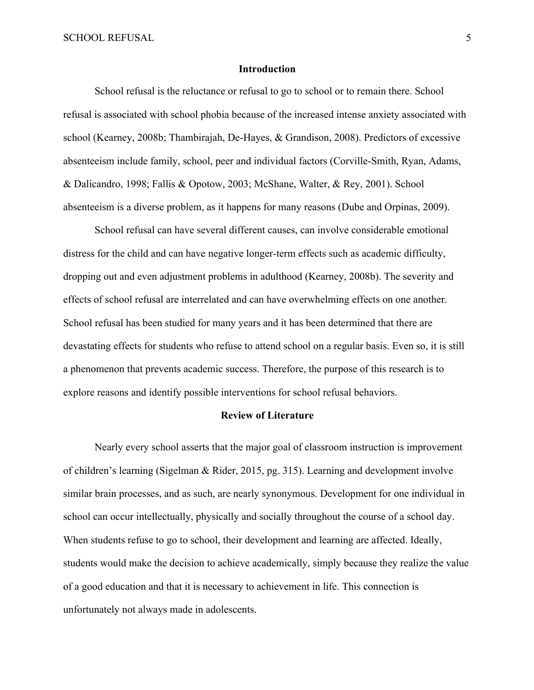#### **Introduction**

School refusal is the reluctance or refusal to go to school or to remain there. School refusal is associated with school phobia because of the increased intense anxiety associated with school (Kearney, 2008b; Thambirajah, De-Hayes, & Grandison, 2008). Predictors of excessive absenteeism include family, school, peer and individual factors (Corville-Smith, Ryan, Adams, & Dalicandro, 1998; Fallis & Opotow, 2003; McShane, Walter, & Rey, 2001). School absenteeism is a diverse problem, as it happens for many reasons (Dube and Orpinas, 2009).

School refusal can have several different causes, can involve considerable emotional distress for the child and can have negative longer-term effects such as academic difficulty, dropping out and even adjustment problems in adulthood (Kearney, 2008b). The severity and effects of school refusal are interrelated and can have overwhelming effects on one another. School refusal has been studied for many years and it has been determined that there are devastating effects for students who refuse to attend school on a regular basis. Even so, it is still a phenomenon that prevents academic success. Therefore, the purpose of this research is to explore reasons and identify possible interventions for school refusal behaviors.

#### **Review of Literature**

Nearly every school asserts that the major goal of classroom instruction is improvement of children's learning (Sigelman & Rider, 2015, pg. 315). Learning and development involve similar brain processes, and as such, are nearly synonymous. Development for one individual in school can occur intellectually, physically and socially throughout the course of a school day. When students refuse to go to school, their development and learning are affected. Ideally, students would make the decision to achieve academically, simply because they realize the value of a good education and that it is necessary to achievement in life. This connection is unfortunately not always made in adolescents.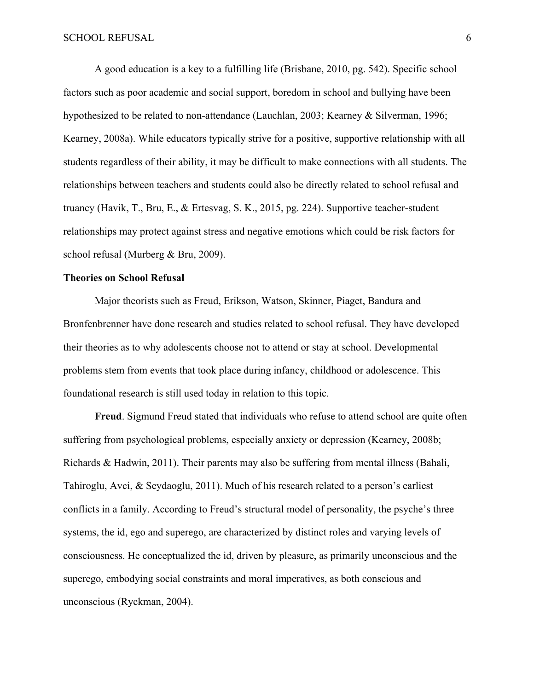A good education is a key to a fulfilling life (Brisbane, 2010, pg. 542). Specific school factors such as poor academic and social support, boredom in school and bullying have been hypothesized to be related to non-attendance (Lauchlan, 2003; Kearney & Silverman, 1996; Kearney, 2008a). While educators typically strive for a positive, supportive relationship with all students regardless of their ability, it may be difficult to make connections with all students. The relationships between teachers and students could also be directly related to school refusal and truancy (Havik, T., Bru, E., & Ertesvag, S. K., 2015, pg. 224). Supportive teacher-student relationships may protect against stress and negative emotions which could be risk factors for school refusal (Murberg & Bru, 2009).

#### **Theories on School Refusal**

Major theorists such as Freud, Erikson, Watson, Skinner, Piaget, Bandura and Bronfenbrenner have done research and studies related to school refusal. They have developed their theories as to why adolescents choose not to attend or stay at school. Developmental problems stem from events that took place during infancy, childhood or adolescence. This foundational research is still used today in relation to this topic.

**Freud**. Sigmund Freud stated that individuals who refuse to attend school are quite often suffering from psychological problems, especially anxiety or depression (Kearney, 2008b; Richards & Hadwin, 2011). Their parents may also be suffering from mental illness (Bahali, Tahiroglu, Avci, & Seydaoglu, 2011). Much of his research related to a person's earliest conflicts in a family. According to Freud's structural model of personality, the psyche's three systems, the id, ego and superego, are characterized by distinct roles and varying levels of consciousness. He conceptualized the id, driven by pleasure, as primarily unconscious and the superego, embodying social constraints and moral imperatives, as both conscious and unconscious (Ryckman, 2004).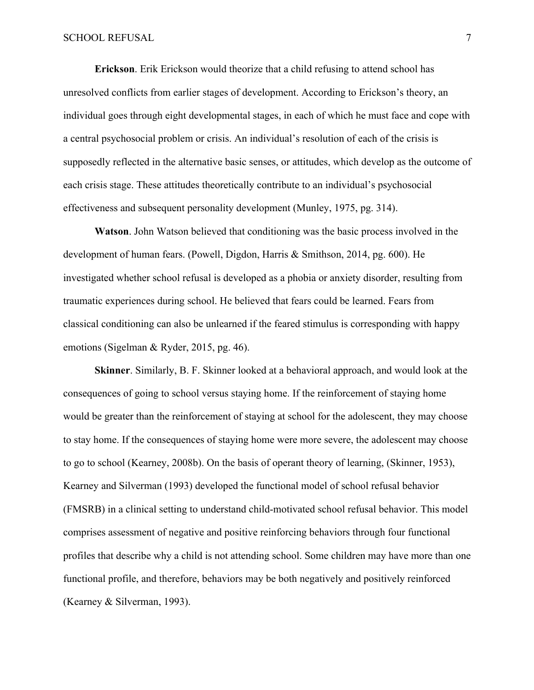**Erickson**. Erik Erickson would theorize that a child refusing to attend school has unresolved conflicts from earlier stages of development. According to Erickson's theory, an individual goes through eight developmental stages, in each of which he must face and cope with a central psychosocial problem or crisis. An individual's resolution of each of the crisis is supposedly reflected in the alternative basic senses, or attitudes, which develop as the outcome of each crisis stage. These attitudes theoretically contribute to an individual's psychosocial effectiveness and subsequent personality development (Munley, 1975, pg. 314).

**Watson**. John Watson believed that conditioning was the basic process involved in the development of human fears. (Powell, Digdon, Harris & Smithson, 2014, pg. 600). He investigated whether school refusal is developed as a phobia or anxiety disorder, resulting from traumatic experiences during school. He believed that fears could be learned. Fears from classical conditioning can also be unlearned if the feared stimulus is corresponding with happy emotions (Sigelman & Ryder, 2015, pg. 46).

**Skinner**. Similarly, B. F. Skinner looked at a behavioral approach, and would look at the consequences of going to school versus staying home. If the reinforcement of staying home would be greater than the reinforcement of staying at school for the adolescent, they may choose to stay home. If the consequences of staying home were more severe, the adolescent may choose to go to school (Kearney, 2008b). On the basis of operant theory of learning, (Skinner, 1953), Kearney and Silverman (1993) developed the functional model of school refusal behavior (FMSRB) in a clinical setting to understand child-motivated school refusal behavior. This model comprises assessment of negative and positive reinforcing behaviors through four functional profiles that describe why a child is not attending school. Some children may have more than one functional profile, and therefore, behaviors may be both negatively and positively reinforced (Kearney & Silverman, 1993).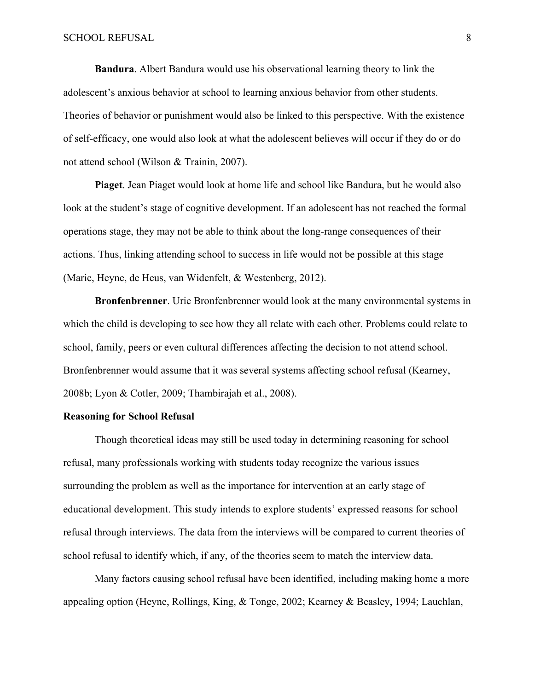**Bandura**. Albert Bandura would use his observational learning theory to link the adolescent's anxious behavior at school to learning anxious behavior from other students. Theories of behavior or punishment would also be linked to this perspective. With the existence of self-efficacy, one would also look at what the adolescent believes will occur if they do or do not attend school (Wilson & Trainin, 2007).

**Piaget**. Jean Piaget would look at home life and school like Bandura, but he would also look at the student's stage of cognitive development. If an adolescent has not reached the formal operations stage, they may not be able to think about the long-range consequences of their actions. Thus, linking attending school to success in life would not be possible at this stage (Maric, Heyne, de Heus, van Widenfelt, & Westenberg, 2012).

**Bronfenbrenner**. Urie Bronfenbrenner would look at the many environmental systems in which the child is developing to see how they all relate with each other. Problems could relate to school, family, peers or even cultural differences affecting the decision to not attend school. Bronfenbrenner would assume that it was several systems affecting school refusal (Kearney, 2008b; Lyon & Cotler, 2009; Thambirajah et al., 2008).

# **Reasoning for School Refusal**

Though theoretical ideas may still be used today in determining reasoning for school refusal, many professionals working with students today recognize the various issues surrounding the problem as well as the importance for intervention at an early stage of educational development. This study intends to explore students' expressed reasons for school refusal through interviews. The data from the interviews will be compared to current theories of school refusal to identify which, if any, of the theories seem to match the interview data.

Many factors causing school refusal have been identified, including making home a more appealing option (Heyne, Rollings, King, & Tonge, 2002; Kearney & Beasley, 1994; Lauchlan,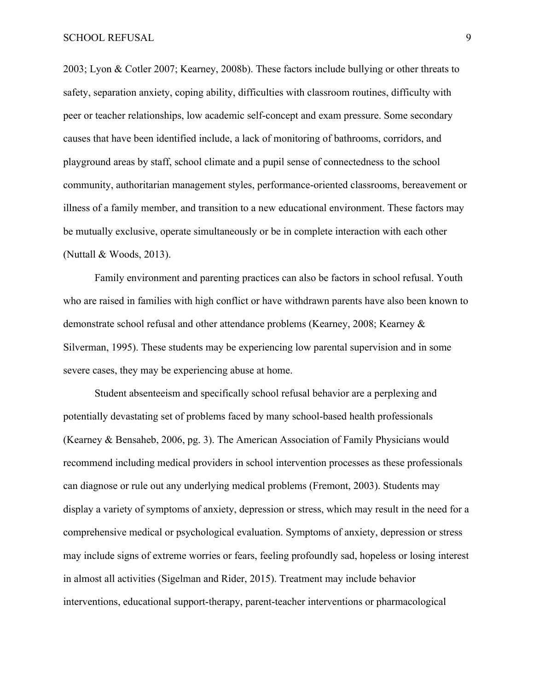2003; Lyon & Cotler 2007; Kearney, 2008b). These factors include bullying or other threats to safety, separation anxiety, coping ability, difficulties with classroom routines, difficulty with peer or teacher relationships, low academic self-concept and exam pressure. Some secondary causes that have been identified include, a lack of monitoring of bathrooms, corridors, and playground areas by staff, school climate and a pupil sense of connectedness to the school community, authoritarian management styles, performance-oriented classrooms, bereavement or illness of a family member, and transition to a new educational environment. These factors may be mutually exclusive, operate simultaneously or be in complete interaction with each other (Nuttall & Woods, 2013).

Family environment and parenting practices can also be factors in school refusal. Youth who are raised in families with high conflict or have withdrawn parents have also been known to demonstrate school refusal and other attendance problems (Kearney, 2008; Kearney & Silverman, 1995). These students may be experiencing low parental supervision and in some severe cases, they may be experiencing abuse at home.

Student absenteeism and specifically school refusal behavior are a perplexing and potentially devastating set of problems faced by many school-based health professionals (Kearney & Bensaheb, 2006, pg. 3). The American Association of Family Physicians would recommend including medical providers in school intervention processes as these professionals can diagnose or rule out any underlying medical problems (Fremont, 2003). Students may display a variety of symptoms of anxiety, depression or stress, which may result in the need for a comprehensive medical or psychological evaluation. Symptoms of anxiety, depression or stress may include signs of extreme worries or fears, feeling profoundly sad, hopeless or losing interest in almost all activities (Sigelman and Rider, 2015). Treatment may include behavior interventions, educational support-therapy, parent-teacher interventions or pharmacological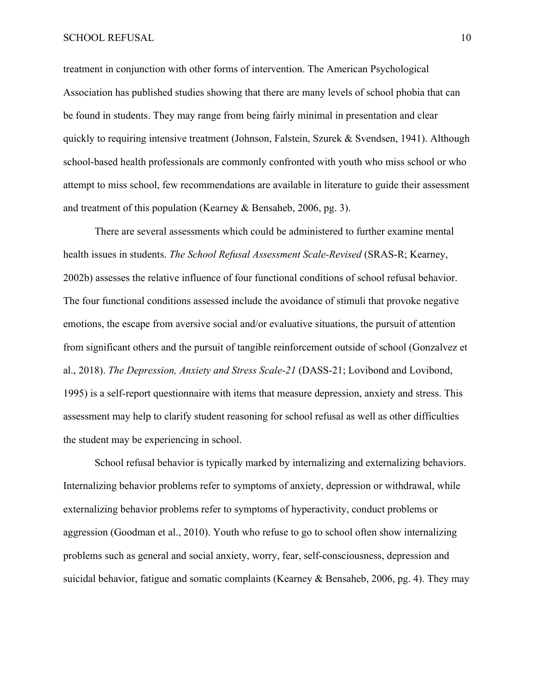treatment in conjunction with other forms of intervention. The American Psychological Association has published studies showing that there are many levels of school phobia that can be found in students. They may range from being fairly minimal in presentation and clear quickly to requiring intensive treatment (Johnson, Falstein, Szurek & Svendsen, 1941). Although school-based health professionals are commonly confronted with youth who miss school or who attempt to miss school, few recommendations are available in literature to guide their assessment and treatment of this population (Kearney & Bensaheb, 2006, pg. 3).

There are several assessments which could be administered to further examine mental health issues in students. *The School Refusal Assessment Scale-Revised* (SRAS-R; Kearney, 2002b) assesses the relative influence of four functional conditions of school refusal behavior. The four functional conditions assessed include the avoidance of stimuli that provoke negative emotions, the escape from aversive social and/or evaluative situations, the pursuit of attention from significant others and the pursuit of tangible reinforcement outside of school (Gonzalvez et al., 2018). *The Depression, Anxiety and Stress Scale-21* (DASS-21; Lovibond and Lovibond, 1995) is a self-report questionnaire with items that measure depression, anxiety and stress. This assessment may help to clarify student reasoning for school refusal as well as other difficulties the student may be experiencing in school.

School refusal behavior is typically marked by internalizing and externalizing behaviors. Internalizing behavior problems refer to symptoms of anxiety, depression or withdrawal, while externalizing behavior problems refer to symptoms of hyperactivity, conduct problems or aggression (Goodman et al., 2010). Youth who refuse to go to school often show internalizing problems such as general and social anxiety, worry, fear, self-consciousness, depression and suicidal behavior, fatigue and somatic complaints (Kearney & Bensaheb, 2006, pg. 4). They may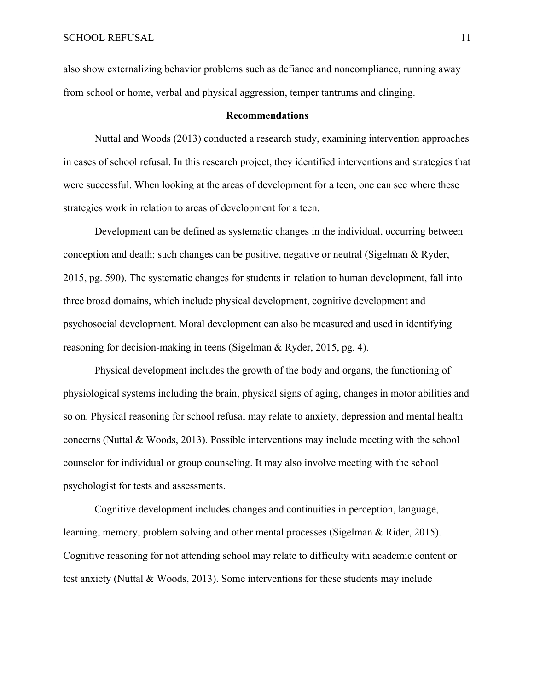also show externalizing behavior problems such as defiance and noncompliance, running away from school or home, verbal and physical aggression, temper tantrums and clinging.

#### **Recommendations**

Nuttal and Woods (2013) conducted a research study, examining intervention approaches in cases of school refusal. In this research project, they identified interventions and strategies that were successful. When looking at the areas of development for a teen, one can see where these strategies work in relation to areas of development for a teen.

Development can be defined as systematic changes in the individual, occurring between conception and death; such changes can be positive, negative or neutral (Sigelman & Ryder, 2015, pg. 590). The systematic changes for students in relation to human development, fall into three broad domains, which include physical development, cognitive development and psychosocial development. Moral development can also be measured and used in identifying reasoning for decision-making in teens (Sigelman & Ryder, 2015, pg. 4).

Physical development includes the growth of the body and organs, the functioning of physiological systems including the brain, physical signs of aging, changes in motor abilities and so on. Physical reasoning for school refusal may relate to anxiety, depression and mental health concerns (Nuttal & Woods, 2013). Possible interventions may include meeting with the school counselor for individual or group counseling. It may also involve meeting with the school psychologist for tests and assessments.

Cognitive development includes changes and continuities in perception, language, learning, memory, problem solving and other mental processes (Sigelman & Rider, 2015). Cognitive reasoning for not attending school may relate to difficulty with academic content or test anxiety (Nuttal & Woods, 2013). Some interventions for these students may include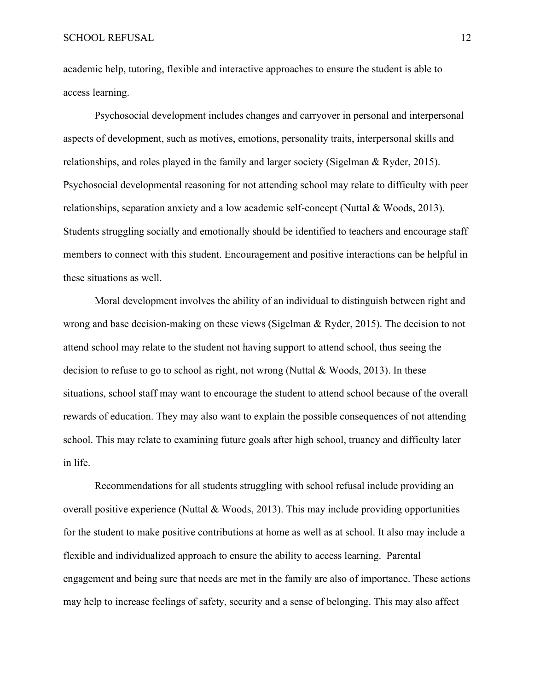academic help, tutoring, flexible and interactive approaches to ensure the student is able to access learning.

Psychosocial development includes changes and carryover in personal and interpersonal aspects of development, such as motives, emotions, personality traits, interpersonal skills and relationships, and roles played in the family and larger society (Sigelman & Ryder, 2015). Psychosocial developmental reasoning for not attending school may relate to difficulty with peer relationships, separation anxiety and a low academic self-concept (Nuttal & Woods, 2013). Students struggling socially and emotionally should be identified to teachers and encourage staff members to connect with this student. Encouragement and positive interactions can be helpful in these situations as well.

Moral development involves the ability of an individual to distinguish between right and wrong and base decision-making on these views (Sigelman & Ryder, 2015). The decision to not attend school may relate to the student not having support to attend school, thus seeing the decision to refuse to go to school as right, not wrong (Nuttal & Woods, 2013). In these situations, school staff may want to encourage the student to attend school because of the overall rewards of education. They may also want to explain the possible consequences of not attending school. This may relate to examining future goals after high school, truancy and difficulty later in life.

Recommendations for all students struggling with school refusal include providing an overall positive experience (Nuttal & Woods, 2013). This may include providing opportunities for the student to make positive contributions at home as well as at school. It also may include a flexible and individualized approach to ensure the ability to access learning. Parental engagement and being sure that needs are met in the family are also of importance. These actions may help to increase feelings of safety, security and a sense of belonging. This may also affect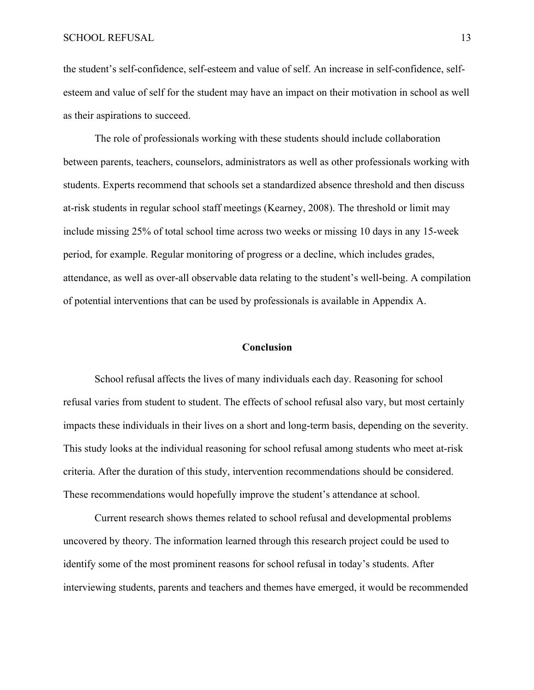the student's self-confidence, self-esteem and value of self. An increase in self-confidence, selfesteem and value of self for the student may have an impact on their motivation in school as well as their aspirations to succeed.

The role of professionals working with these students should include collaboration between parents, teachers, counselors, administrators as well as other professionals working with students. Experts recommend that schools set a standardized absence threshold and then discuss at-risk students in regular school staff meetings (Kearney, 2008). The threshold or limit may include missing 25% of total school time across two weeks or missing 10 days in any 15-week period, for example. Regular monitoring of progress or a decline, which includes grades, attendance, as well as over-all observable data relating to the student's well-being. A compilation of potential interventions that can be used by professionals is available in Appendix A.

## **Conclusion**

School refusal affects the lives of many individuals each day. Reasoning for school refusal varies from student to student. The effects of school refusal also vary, but most certainly impacts these individuals in their lives on a short and long-term basis, depending on the severity. This study looks at the individual reasoning for school refusal among students who meet at-risk criteria. After the duration of this study, intervention recommendations should be considered. These recommendations would hopefully improve the student's attendance at school.

Current research shows themes related to school refusal and developmental problems uncovered by theory. The information learned through this research project could be used to identify some of the most prominent reasons for school refusal in today's students. After interviewing students, parents and teachers and themes have emerged, it would be recommended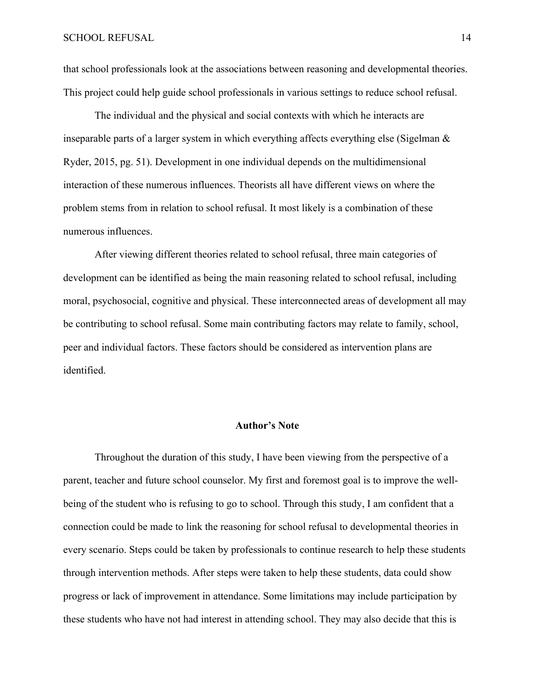that school professionals look at the associations between reasoning and developmental theories. This project could help guide school professionals in various settings to reduce school refusal.

The individual and the physical and social contexts with which he interacts are inseparable parts of a larger system in which everything affects everything else (Sigelman & Ryder, 2015, pg. 51). Development in one individual depends on the multidimensional interaction of these numerous influences. Theorists all have different views on where the problem stems from in relation to school refusal. It most likely is a combination of these numerous influences.

After viewing different theories related to school refusal, three main categories of development can be identified as being the main reasoning related to school refusal, including moral, psychosocial, cognitive and physical. These interconnected areas of development all may be contributing to school refusal. Some main contributing factors may relate to family, school, peer and individual factors. These factors should be considered as intervention plans are identified.

#### **Author's Note**

Throughout the duration of this study, I have been viewing from the perspective of a parent, teacher and future school counselor. My first and foremost goal is to improve the wellbeing of the student who is refusing to go to school. Through this study, I am confident that a connection could be made to link the reasoning for school refusal to developmental theories in every scenario. Steps could be taken by professionals to continue research to help these students through intervention methods. After steps were taken to help these students, data could show progress or lack of improvement in attendance. Some limitations may include participation by these students who have not had interest in attending school. They may also decide that this is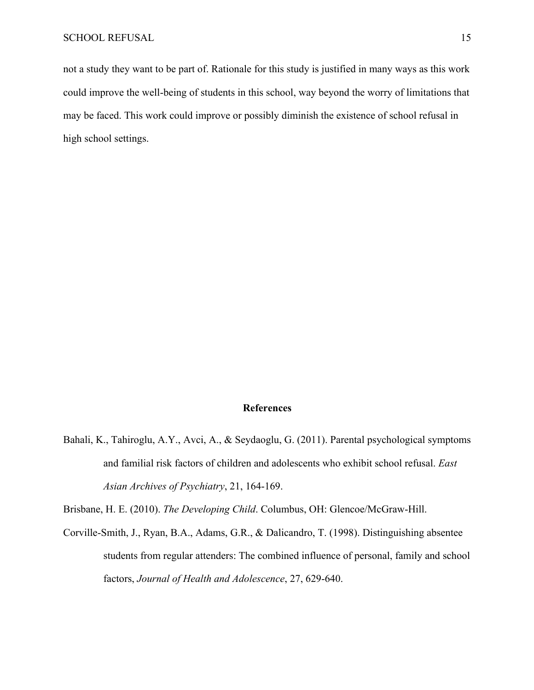not a study they want to be part of. Rationale for this study is justified in many ways as this work could improve the well-being of students in this school, way beyond the worry of limitations that may be faced. This work could improve or possibly diminish the existence of school refusal in high school settings.

# **References**

Bahali, K., Tahiroglu, A.Y., Avci, A., & Seydaoglu, G. (2011). Parental psychological symptoms and familial risk factors of children and adolescents who exhibit school refusal. *East Asian Archives of Psychiatry*, 21, 164-169.

Brisbane, H. E. (2010). *The Developing Child*. Columbus, OH: Glencoe/McGraw-Hill.

Corville-Smith, J., Ryan, B.A., Adams, G.R., & Dalicandro, T. (1998). Distinguishing absentee students from regular attenders: The combined influence of personal, family and school factors, *Journal of Health and Adolescence*, 27, 629-640.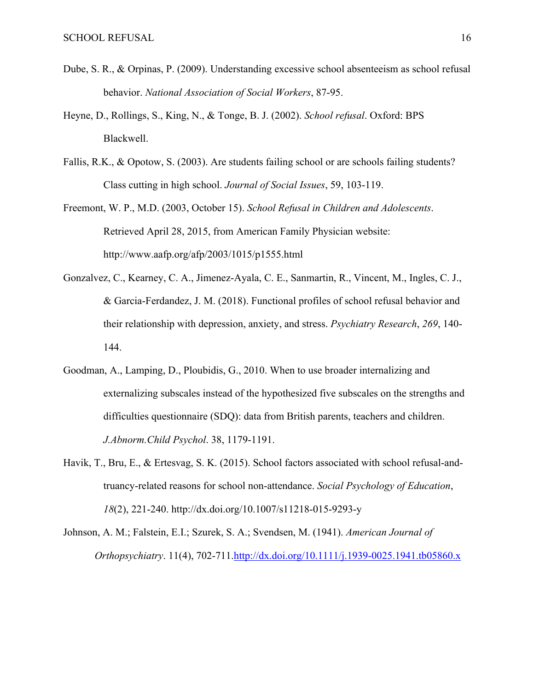- Dube, S. R., & Orpinas, P. (2009). Understanding excessive school absenteeism as school refusal behavior. *National Association of Social Workers*, 87-95.
- Heyne, D., Rollings, S., King, N., & Tonge, B. J. (2002). *School refusal*. Oxford: BPS Blackwell.
- Fallis, R.K., & Opotow, S. (2003). Are students failing school or are schools failing students? Class cutting in high school. *Journal of Social Issues*, 59, 103-119.
- Freemont, W. P., M.D. (2003, October 15). *School Refusal in Children and Adolescents*. Retrieved April 28, 2015, from American Family Physician website: http://www.aafp.org/afp/2003/1015/p1555.html
- Gonzalvez, C., Kearney, C. A., Jimenez-Ayala, C. E., Sanmartin, R., Vincent, M., Ingles, C. J., & Garcia-Ferdandez, J. M. (2018). Functional profiles of school refusal behavior and their relationship with depression, anxiety, and stress. *Psychiatry Research*, *269*, 140- 144.
- Goodman, A., Lamping, D., Ploubidis, G., 2010. When to use broader internalizing and externalizing subscales instead of the hypothesized five subscales on the strengths and difficulties questionnaire (SDQ): data from British parents, teachers and children. *J.Abnorm.Child Psychol*. 38, 1179-1191.
- Havik, T., Bru, E., & Ertesvag, S. K. (2015). School factors associated with school refusal-andtruancy-related reasons for school non-attendance. *Social Psychology of Education*, *18*(2), 221-240. http://dx.doi.org/10.1007/s11218-015-9293-y
- Johnson, A. M.; Falstein, E.I.; Szurek, S. A.; Svendsen, M. (1941). *American Journal of Orthopsychiatry*. 11(4), 702-711.http://dx.doi.org/10.1111/j.1939-0025.1941.tb05860.x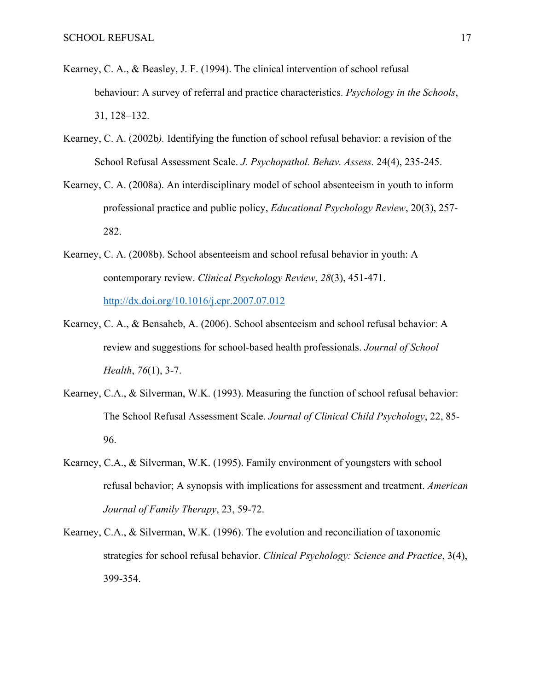- Kearney, C. A., & Beasley, J. F. (1994). The clinical intervention of school refusal behaviour: A survey of referral and practice characteristics. *Psychology in the Schools*, 31, 128–132.
- Kearney, C. A. (2002b*).* Identifying the function of school refusal behavior: a revision of the School Refusal Assessment Scale. *J. Psychopathol. Behav. Assess.* 24(4), 235-245.
- Kearney, C. A. (2008a). An interdisciplinary model of school absenteeism in youth to inform professional practice and public policy, *Educational Psychology Review*, 20(3), 257- 282.
- Kearney, C. A. (2008b). School absenteeism and school refusal behavior in youth: A contemporary review. *Clinical Psychology Review*, *28*(3), 451-471. http://dx.doi.org/10.1016/j.cpr.2007.07.012
- Kearney, C. A., & Bensaheb, A. (2006). School absenteeism and school refusal behavior: A review and suggestions for school-based health professionals. *Journal of School Health*, *76*(1), 3-7.
- Kearney, C.A., & Silverman, W.K. (1993). Measuring the function of school refusal behavior: The School Refusal Assessment Scale. *Journal of Clinical Child Psychology*, 22, 85- 96.
- Kearney, C.A., & Silverman, W.K. (1995). Family environment of youngsters with school refusal behavior; A synopsis with implications for assessment and treatment. *American Journal of Family Therapy*, 23, 59-72.
- Kearney, C.A., & Silverman, W.K. (1996). The evolution and reconciliation of taxonomic strategies for school refusal behavior. *Clinical Psychology: Science and Practice*, 3(4), 399-354.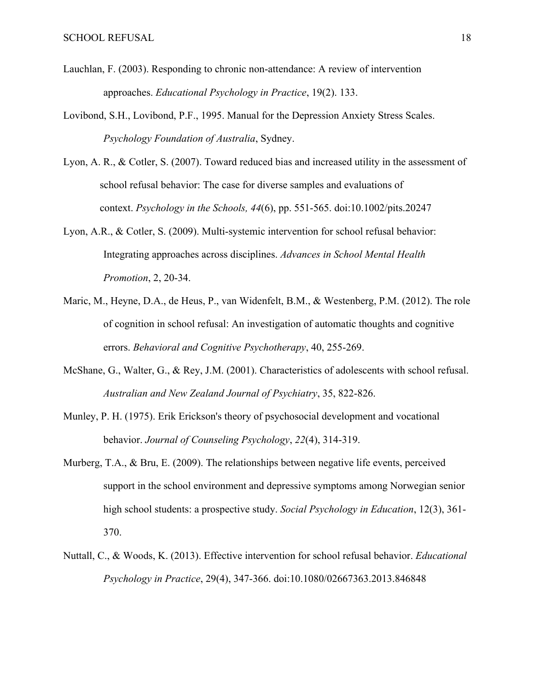- Lauchlan, F. (2003). Responding to chronic non-attendance: A review of intervention approaches. *Educational Psychology in Practice*, 19(2). 133.
- Lovibond, S.H., Lovibond, P.F., 1995. Manual for the Depression Anxiety Stress Scales. *Psychology Foundation of Australia*, Sydney.
- Lyon, A. R., & Cotler, S. (2007). Toward reduced bias and increased utility in the assessment of school refusal behavior: The case for diverse samples and evaluations of context. *Psychology in the Schools, 44*(6), pp. 551-565. doi:10.1002/pits.20247
- Lyon, A.R., & Cotler, S. (2009). Multi-systemic intervention for school refusal behavior: Integrating approaches across disciplines. *Advances in School Mental Health Promotion*, 2, 20-34.
- Maric, M., Heyne, D.A., de Heus, P., van Widenfelt, B.M., & Westenberg, P.M. (2012). The role of cognition in school refusal: An investigation of automatic thoughts and cognitive errors. *Behavioral and Cognitive Psychotherapy*, 40, 255-269.
- McShane, G., Walter, G., & Rey, J.M. (2001). Characteristics of adolescents with school refusal. *Australian and New Zealand Journal of Psychiatry*, 35, 822-826.
- Munley, P. H. (1975). Erik Erickson's theory of psychosocial development and vocational behavior. *Journal of Counseling Psychology*, *22*(4), 314-319.
- Murberg, T.A., & Bru, E. (2009). The relationships between negative life events, perceived support in the school environment and depressive symptoms among Norwegian senior high school students: a prospective study. *Social Psychology in Education*, 12(3), 361- 370.
- Nuttall, C., & Woods, K. (2013). Effective intervention for school refusal behavior. *Educational Psychology in Practice*, 29(4), 347-366. doi:10.1080/02667363.2013.846848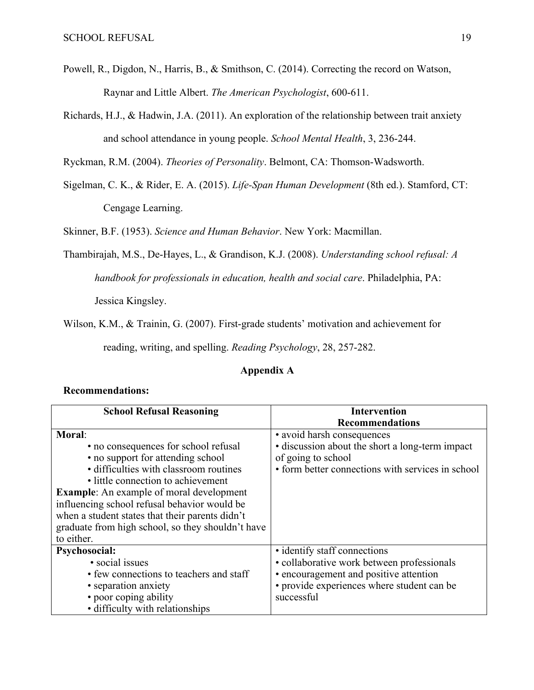- Powell, R., Digdon, N., Harris, B., & Smithson, C. (2014). Correcting the record on Watson, Raynar and Little Albert. *The American Psychologist*, 600-611.
- Richards, H.J., & Hadwin, J.A. (2011). An exploration of the relationship between trait anxiety and school attendance in young people. *School Mental Health*, 3, 236-244.

Ryckman, R.M. (2004). *Theories of Personality*. Belmont, CA: Thomson-Wadsworth.

Sigelman, C. K., & Rider, E. A. (2015). *Life-Span Human Development* (8th ed.). Stamford, CT: Cengage Learning.

Skinner, B.F. (1953). *Science and Human Behavior*. New York: Macmillan.

Thambirajah, M.S., De-Hayes, L., & Grandison, K.J. (2008). *Understanding school refusal: A* 

*handbook for professionals in education, health and social care*. Philadelphia, PA:

Jessica Kingsley.

Wilson, K.M., & Trainin, G. (2007). First-grade students' motivation and achievement for

reading, writing, and spelling. *Reading Psychology*, 28, 257-282.

# **Appendix A**

# **Recommendations:**

| <b>School Refusal Reasoning</b>                   | <b>Intervention</b>                               |
|---------------------------------------------------|---------------------------------------------------|
|                                                   | <b>Recommendations</b>                            |
| <b>Moral:</b>                                     | • avoid harsh consequences                        |
| • no consequences for school refusal              | • discussion about the short a long-term impact   |
| • no support for attending school                 | of going to school                                |
| • difficulties with classroom routines            | • form better connections with services in school |
| • little connection to achievement                |                                                   |
| <b>Example:</b> An example of moral development   |                                                   |
| influencing school refusal behavior would be      |                                                   |
| when a student states that their parents didn't   |                                                   |
| graduate from high school, so they shouldn't have |                                                   |
| to either.                                        |                                                   |
| Psychosocial:                                     | • identify staff connections                      |
| · social issues                                   | • collaborative work between professionals        |
| • few connections to teachers and staff           | • encouragement and positive attention            |
| • separation anxiety                              | • provide experiences where student can be        |
| • poor coping ability                             | successful                                        |
| • difficulty with relationships                   |                                                   |